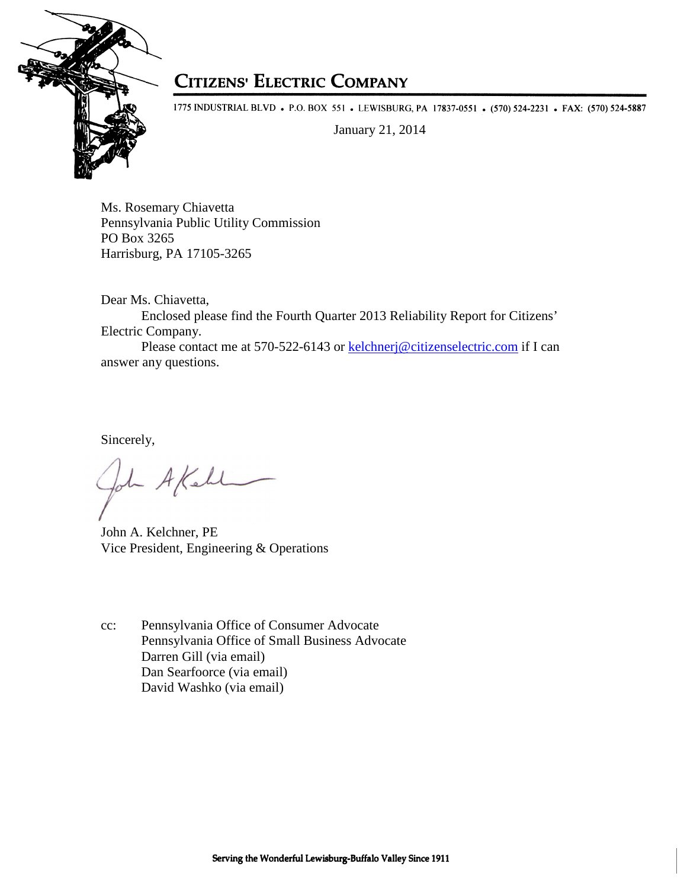

## **CITIZENS' ELECTRIC COMPANY**

1775 INDUSTRIAL BLVD • P.O. BOX 551 • LEWISBURG, PA 17837-0551 • (570) 524-2231 • FAX: (570) 524-5887

January 21, 2014

Ms. Rosemary Chiavetta Pennsylvania Public Utility Commission PO Box 3265 Harrisburg, PA 17105-3265

Dear Ms. Chiavetta,

Enclosed please find the Fourth Quarter 2013 Reliability Report for Citizens' Electric Company.

Please contact me at 570-522-6143 or kelchnerj@citizenselectric.com if I can answer any questions.

Sincerely,

John A Kell

John A. Kelchner, PE Vice President, Engineering & Operations

cc: Pennsylvania Office of Consumer Advocate Pennsylvania Office of Small Business Advocate Darren Gill (via email) Dan Searfoorce (via email) David Washko (via email)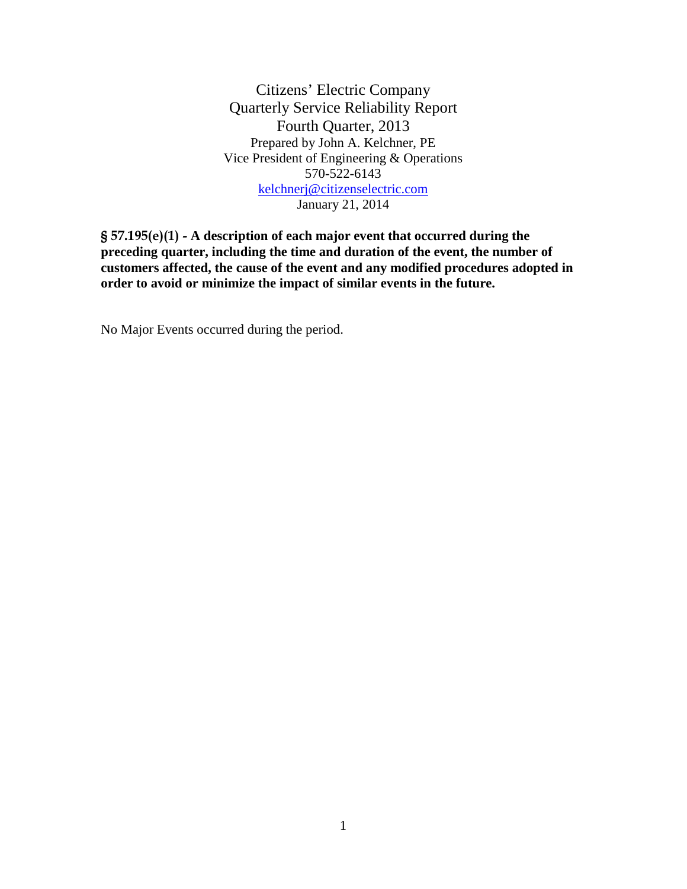Citizens' Electric Company Quarterly Service Reliability Report Fourth Quarter, 2013 Prepared by John A. Kelchner, PE Vice President of Engineering & Operations 570-522-6143 kelchnerj@citizenselectric.com January 21, 2014

§ 57.195(e)(1) - **A description of each major event that occurred during the preceding quarter, including the time and duration of the event, the number of customers affected, the cause of the event and any modified procedures adopted in order to avoid or minimize the impact of similar events in the future.** 

No Major Events occurred during the period.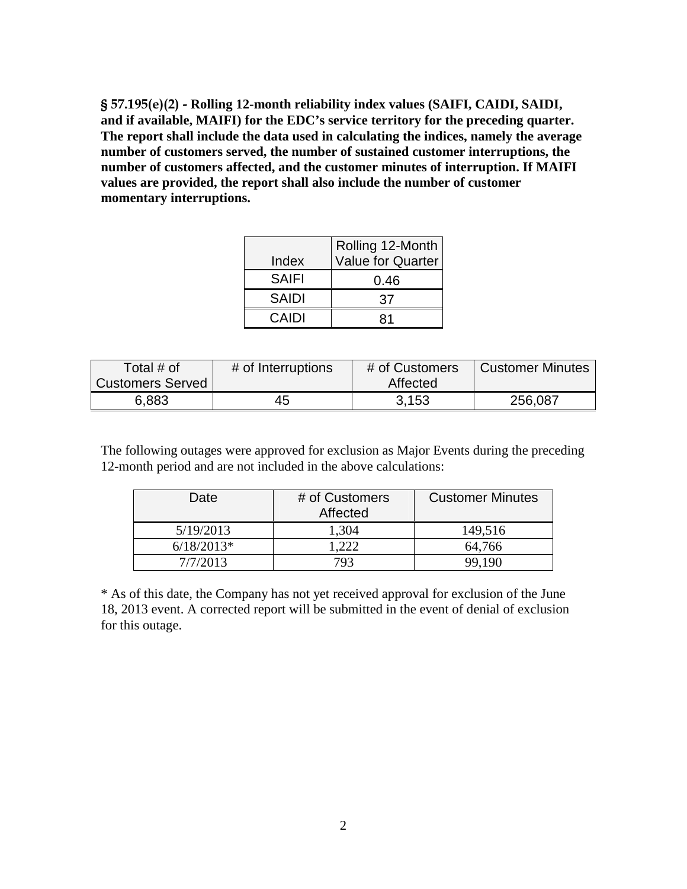§ 57.195(e)(2) - **Rolling 12-month reliability index values (SAIFI, CAIDI, SAIDI, and if available, MAIFI) for the EDC's service territory for the preceding quarter. The report shall include the data used in calculating the indices, namely the average number of customers served, the number of sustained customer interruptions, the number of customers affected, and the customer minutes of interruption. If MAIFI values are provided, the report shall also include the number of customer momentary interruptions.** 

|              | Rolling 12-Month         |  |  |  |
|--------------|--------------------------|--|--|--|
| Index        | <b>Value for Quarter</b> |  |  |  |
| <b>SAIFI</b> | 0.46                     |  |  |  |
| <b>SAIDI</b> | 37                       |  |  |  |
| CAIDI        |                          |  |  |  |

| Total # of              | # of Interruptions | # of Customers | <b>Customer Minutes</b> |
|-------------------------|--------------------|----------------|-------------------------|
| <b>Customers Served</b> |                    | Affected       |                         |
| 6,883                   | 45                 | 3.153          | 256,087                 |

The following outages were approved for exclusion as Major Events during the preceding 12-month period and are not included in the above calculations:

| Date         | # of Customers<br>Affected | <b>Customer Minutes</b> |
|--------------|----------------------------|-------------------------|
| 5/19/2013    | 1,304                      | 149,516                 |
| $6/18/2013*$ | .222                       | 64,766                  |
| 7/7/2013     | 793                        | 99.190                  |

\* As of this date, the Company has not yet received approval for exclusion of the June 18, 2013 event. A corrected report will be submitted in the event of denial of exclusion for this outage.